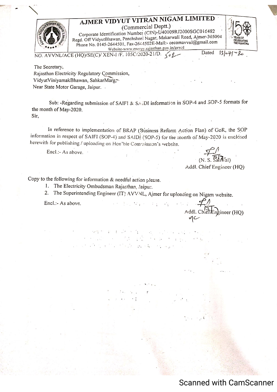



NO. AVVNL/ACE (HQ)/SE(C)/ XEN-I/F. 105C/2020-21/D.

Dated  $13 - 71$  $\sim$ 20

The Secretary, Rajasthan Electricity Regulatory Commission, VidyutViniyamakBhawan, SahkarMarg Near State Motor Garage, Jaipur.

Sub: -Regarding submission of SAIFI & SAIDI information in SOP-4 and SOP-5 formats for the month of May-2020. Sir.

In reference to implementation of BRAP (Business Reform Action Flan) of GoR, the SOP information in respect of SAIFI (SOP-4) and SAIDI (SOP-5) for the month of May-2020 is enclosed herewith for publishing / uploading on Hen'ble Commission's website.

Encl.:- As above.  $\cdot$ 

 $(N. S. Sanwal)$ 

Addl. Chief Engineer (HO)

Addl. Chief Engineer (HQ)

 $\tilde{\mathbf{r}} = \tilde{\mathbf{r}}^T \mathbf{r}$  .

Copy to the following for information  $\&$  needful action please.

1. The Electricity Ombudsman Rajasthan, Jaipur.

The Superintending Engineer (IT) AVVNL, Ajmer for uploading on Nigam website.  $2.$ 

in a sh

which is a transformation of the

and the transmitting and control

Encl.:- As above.

**Scanned with CamScanner**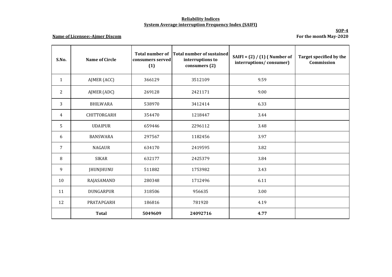## **Reliability Indices System Average interruption Frequency Index (SAIFI)**

## **Name of Licensee:-Ajmer Discom**

**SOP-4 For the month May-2020**

| S.No.          | <b>Name of Circle</b> | <b>Total number of</b><br>consumers served<br>(1) | <b>Total number of sustained</b><br>interruptions to<br>consumers (2) | SAIFI = $(2) / (1)$ (Number of<br>interruptions/consumer) | Target specified by the<br>Commission |
|----------------|-----------------------|---------------------------------------------------|-----------------------------------------------------------------------|-----------------------------------------------------------|---------------------------------------|
| $\mathbf{1}$   | AJMER (ACC)           | 366129                                            | 3512109                                                               | 9.59                                                      |                                       |
| 2              | AJMER (ADC)           | 269128                                            | 2421171                                                               | 9.00                                                      |                                       |
| 3              | <b>BHILWARA</b>       | 538970                                            | 3412414                                                               | 6.33                                                      |                                       |
| $\overline{4}$ | CHITTORGARH           | 354470                                            | 1218447                                                               | 3.44                                                      |                                       |
| 5              | <b>UDAIPUR</b>        | 659446                                            | 2296112                                                               | 3.48                                                      |                                       |
| 6              | <b>BANSWARA</b>       | 297567                                            | 1182456                                                               | 3.97                                                      |                                       |
| 7              | <b>NAGAUR</b>         | 634170                                            | 2419595                                                               | 3.82                                                      |                                       |
| 8              | <b>SIKAR</b>          | 632177                                            | 2425379                                                               | 3.84                                                      |                                       |
| 9              | JHUNJHUNU             | 511882                                            | 1753982                                                               | 3.43                                                      |                                       |
| 10             | RAJASAMAND            | 280348                                            | 1712496                                                               | 6.11                                                      |                                       |
| 11             | <b>DUNGARPUR</b>      | 318506                                            | 956635                                                                | 3.00                                                      |                                       |
| 12             | PRATAPGARH            | 186816                                            | 781920                                                                | 4.19                                                      |                                       |
|                | <b>Total</b>          | 5049609                                           | 24092716                                                              | 4.77                                                      |                                       |